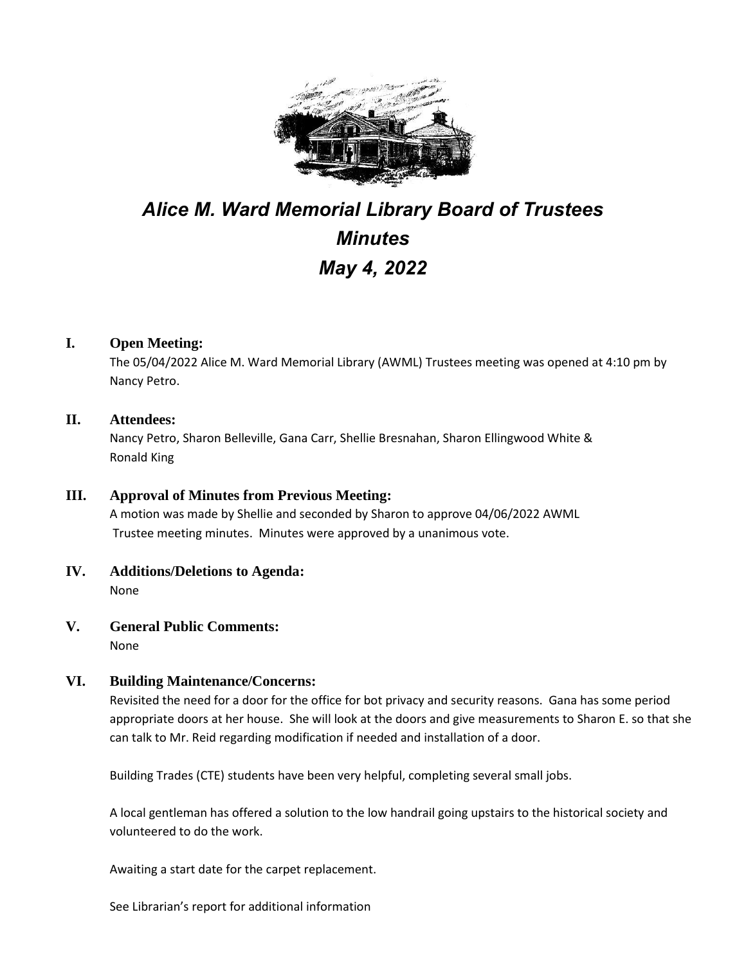

# *Alice M. Ward Memorial Library Board of Trustees Minutes May 4, 2022*

# **I. Open Meeting:**

The 05/04/2022 Alice M. Ward Memorial Library (AWML) Trustees meeting was opened at 4:10 pm by Nancy Petro.

#### **II. Attendees:**

Nancy Petro, Sharon Belleville, Gana Carr, Shellie Bresnahan, Sharon Ellingwood White & Ronald King

# **III. Approval of Minutes from Previous Meeting:**

A motion was made by Shellie and seconded by Sharon to approve 04/06/2022 AWML Trustee meeting minutes. Minutes were approved by a unanimous vote.

- **IV. Additions/Deletions to Agenda:** None
- **V. General Public Comments:** None

## **VI. Building Maintenance/Concerns:**

Revisited the need for a door for the office for bot privacy and security reasons. Gana has some period appropriate doors at her house. She will look at the doors and give measurements to Sharon E. so that she can talk to Mr. Reid regarding modification if needed and installation of a door.

Building Trades (CTE) students have been very helpful, completing several small jobs.

A local gentleman has offered a solution to the low handrail going upstairs to the historical society and volunteered to do the work.

Awaiting a start date for the carpet replacement.

See Librarian's report for additional information